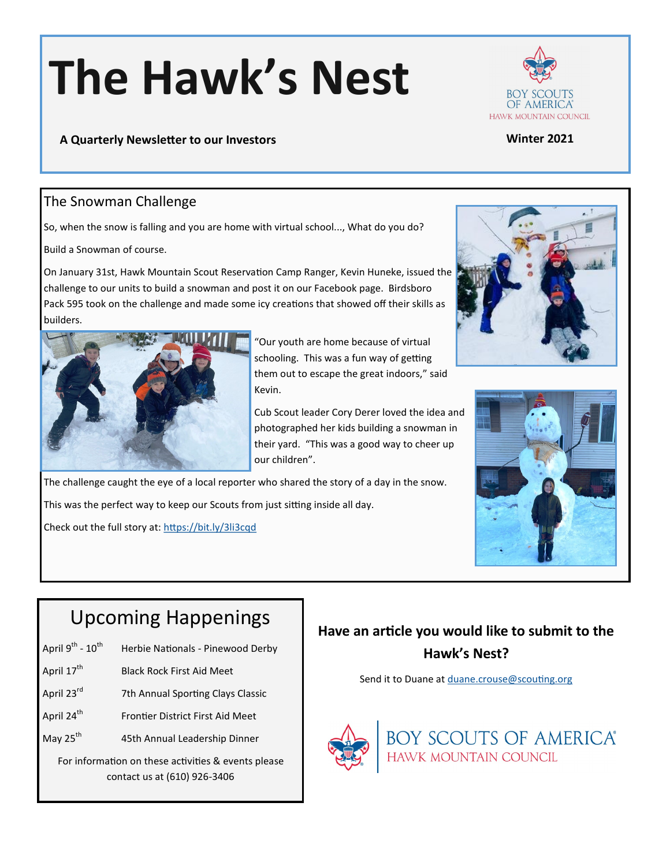# **The Hawk's Nest**



#### **A Quarterly Newsletter to our Investors Winter 2021**

### The Snowman Challenge

So, when the snow is falling and you are home with virtual school..., What do you do?

Build a Snowman of course.

On January 31st, Hawk Mountain Scout Reservation Camp Ranger, Kevin Huneke, issued the challenge to our units to build a snowman and post it on our Facebook page. Birdsboro Pack 595 took on the challenge and made some icy creations that showed off their skills as builders.



"Our youth are home because of virtual schooling. This was a fun way of getting them out to escape the great indoors," said Kevin.

Cub Scout leader Cory Derer loved the idea and photographed her kids building a snowman in their yard. "This was a good way to cheer up our children".

The challenge caught the eye of a local reporter who shared the story of a day in the snow.

This was the perfect way to keep our Scouts from just sitting inside all day.

Check out the full story at: <https://bit.ly/3li3cqd>





# Upcoming Happenings

- April  $9^{th}$   $10^{th}$ Herbie Nationals - Pinewood Derby
- April 17<sup>th</sup> Black Rock First Aid Meet
- April 23<sup>rd</sup> 7th Annual Sporting Clays Classic
- April 24<sup>th</sup> Frontier District First Aid Meet
- May 25<sup>th</sup> 45th Annual Leadership Dinner

For information on these activities & events please contact us at (610) 926-3406

## **Have an article you would like to submit to the Hawk's Nest?**

Send it to Duane at [duane.crouse@scouting.org](mailto:duane.crouse@scouting.org?subject=Hawk)



**BOY SCOUTS OF AMERICA®**<br>HAWK MOUNTAIN COUNCIL